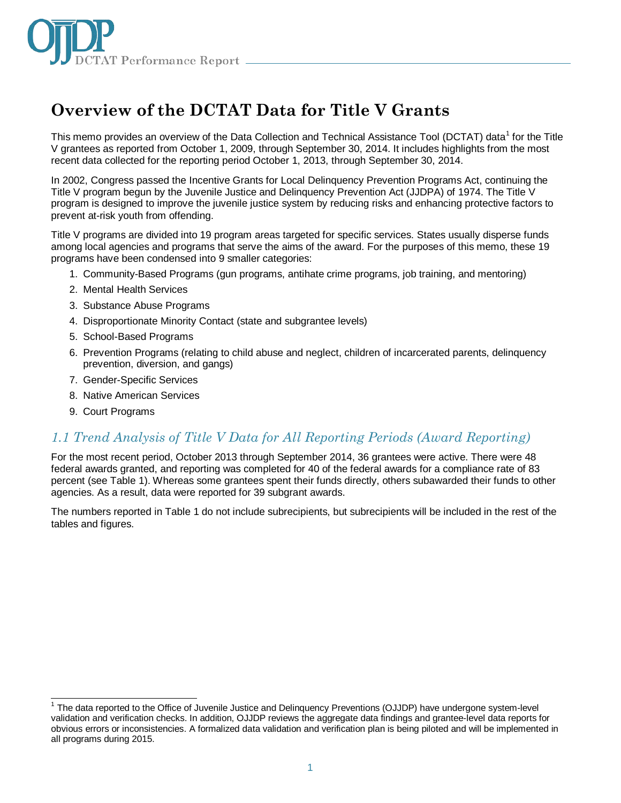

# **Overview of the DCTAT Data for Title V Grants**

This memo provides an overview of the Data Collection and Technical Assistance Tool (DCTAT) data<sup>[1](#page-0-0)</sup> for the Title V grantees as reported from October 1, 2009, through September 30, 2014. It includes highlights from the most recent data collected for the reporting period October 1, 2013, through September 30, 2014.

In 2002, Congress passed the Incentive Grants for Local Delinquency Prevention Programs Act, continuing the Title V program begun by the Juvenile Justice and Delinquency Prevention Act (JJDPA) of 1974. The Title V program is designed to improve the juvenile justice system by reducing risks and enhancing protective factors to prevent at-risk youth from offending.

Title V programs are divided into 19 program areas targeted for specific services. States usually disperse funds among local agencies and programs that serve the aims of the award. For the purposes of this memo, these 19 programs have been condensed into 9 smaller categories:

- 1. Community-Based Programs (gun programs, antihate crime programs, job training, and mentoring)
- 2. Mental Health Services
- 3. Substance Abuse Programs
- 4. Disproportionate Minority Contact (state and subgrantee levels)
- 5. School-Based Programs
- 6. Prevention Programs (relating to child abuse and neglect, children of incarcerated parents, delinquency prevention, diversion, and gangs)
- 7. Gender-Specific Services
- 8. Native American Services
- 9. Court Programs

 $\overline{\phantom{a}}$ 

### *1.1 Trend Analysis of Title V Data for All Reporting Periods (Award Reporting)*

For the most recent period, October 2013 through September 2014, 36 grantees were active. There were 48 federal awards granted, and reporting was completed for 40 of the federal awards for a compliance rate of 83 percent (see Table 1). Whereas some grantees spent their funds directly, others subawarded their funds to other agencies. As a result, data were reported for 39 subgrant awards.

The numbers reported in Table 1 do not include subrecipients, but subrecipients will be included in the rest of the tables and figures.

<span id="page-0-0"></span><sup>&</sup>lt;sup>1</sup> The data reported to the Office of Juvenile Justice and Delinquency Preventions (OJJDP) have undergone system-level validation and verification checks. In addition, OJJDP reviews the aggregate data findings and grantee-level data reports for obvious errors or inconsistencies. A formalized data validation and verification plan is being piloted and will be implemented in all programs during 2015.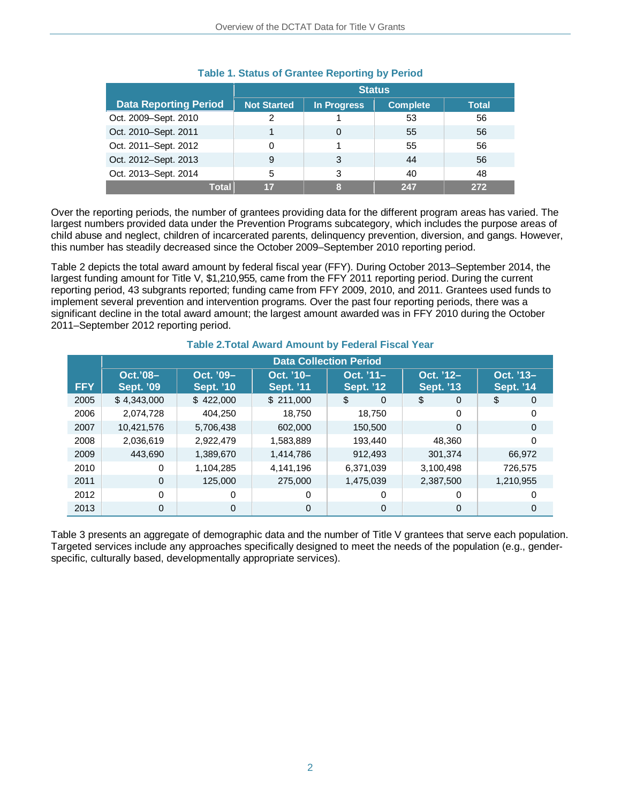|                              | <b>Status</b>      |                    |                 |              |
|------------------------------|--------------------|--------------------|-----------------|--------------|
| <b>Data Reporting Period</b> | <b>Not Started</b> | <b>In Progress</b> | <b>Complete</b> | <b>Total</b> |
| Oct. 2009-Sept. 2010         | 2                  |                    | 53              | 56           |
| Oct. 2010-Sept. 2011         |                    | 0                  | 55              | 56           |
| Oct. 2011-Sept. 2012         | 0                  |                    | 55              | 56           |
| Oct. 2012-Sept. 2013         | 9                  | 3                  | 44              | 56           |
| Oct. 2013-Sept. 2014         | 5                  | 3                  | 40              | 48           |
| <b>Total</b>                 | 17                 | 8                  | 247             | 272          |

#### **Table 1. Status of Grantee Reporting by Period**

Over the reporting periods, the number of grantees providing data for the different program areas has varied. The largest numbers provided data under the Prevention Programs subcategory, which includes the purpose areas of child abuse and neglect, children of incarcerated parents, delinquency prevention, diversion, and gangs. However, this number has steadily decreased since the October 2009–September 2010 reporting period.

Table 2 depicts the total award amount by federal fiscal year (FFY). During October 2013–September 2014, the largest funding amount for Title V, \$1,210,955, came from the FFY 2011 reporting period. During the current reporting period, 43 subgrants reported; funding came from FFY 2009, 2010, and 2011. Grantees used funds to implement several prevention and intervention programs. Over the past four reporting periods, there was a significant decline in the total award amount; the largest amount awarded was in FFY 2010 during the October 2011–September 2012 reporting period.

|            | <b>Data Collection Period</b> |                               |                               |                               |                         |                               |
|------------|-------------------------------|-------------------------------|-------------------------------|-------------------------------|-------------------------|-------------------------------|
| <b>FFY</b> | Oct.'08-<br><b>Sept. '09</b>  | Oct. '09-<br><b>Sept. '10</b> | Oct. '10-<br><b>Sept. '11</b> | Oct. '11-<br><b>Sept. '12</b> | Oct. '12-<br>Sept. '13' | Oct. '13-<br><b>Sept. '14</b> |
| 2005       | \$4,343,000                   | \$422,000                     | \$211,000                     | \$<br>$\mathbf 0$             | \$<br>0                 | \$<br>0                       |
| 2006       | 2,074,728                     | 404.250                       | 18.750                        | 18.750                        | 0                       | 0                             |
| 2007       | 10,421,576                    | 5,706,438                     | 602,000                       | 150,500                       | $\Omega$                | $\Omega$                      |
| 2008       | 2,036,619                     | 2,922,479                     | 1,583,889                     | 193,440                       | 48,360                  | O                             |
| 2009       | 443,690                       | 1,389,670                     | 1,414,786                     | 912,493                       | 301,374                 | 66,972                        |
| 2010       | $\Omega$                      | 1,104,285                     | 4,141,196                     | 6,371,039                     | 3,100,498               | 726,575                       |
| 2011       | $\mathbf 0$                   | 125,000                       | 275,000                       | 1,475,039                     | 2,387,500               | 1,210,955                     |
| 2012       | $\Omega$                      | 0                             | $\Omega$                      | $\Omega$                      | 0                       | 0                             |
| 2013       | 0                             | $\Omega$                      | $\Omega$                      | $\mathbf 0$                   | $\mathbf 0$             | 0                             |

#### **Table 2.Total Award Amount by Federal Fiscal Year**

Table 3 presents an aggregate of demographic data and the number of Title V grantees that serve each population. Targeted services include any approaches specifically designed to meet the needs of the population (e.g., genderspecific, culturally based, developmentally appropriate services).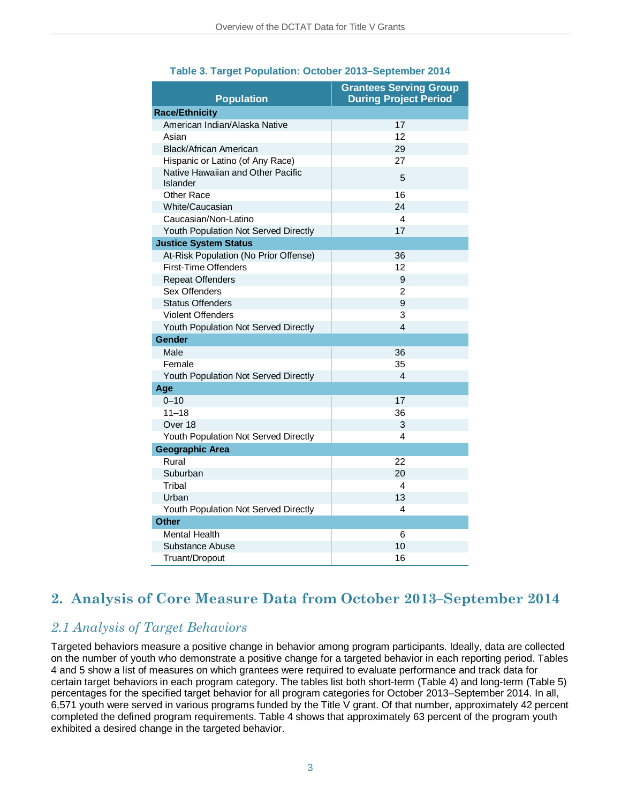|                                               | <b>Grantees Serving Group</b> |  |  |  |
|-----------------------------------------------|-------------------------------|--|--|--|
| <b>Population</b>                             | <b>During Project Period</b>  |  |  |  |
| <b>Race/Ethnicity</b>                         |                               |  |  |  |
| American Indian/Alaska Native                 | 17                            |  |  |  |
| Asian                                         | 12                            |  |  |  |
| <b>Black/African American</b>                 | 29                            |  |  |  |
| Hispanic or Latino (of Any Race)              | 27                            |  |  |  |
| Native Hawaiian and Other Pacific<br>Islander | 5                             |  |  |  |
| Other Race                                    | 16                            |  |  |  |
| White/Caucasian                               | 24                            |  |  |  |
| Caucasian/Non-Latino                          | 4                             |  |  |  |
| Youth Population Not Served Directly          | 17                            |  |  |  |
| <b>Justice System Status</b>                  |                               |  |  |  |
| At-Risk Population (No Prior Offense)         | 36                            |  |  |  |
| <b>First-Time Offenders</b>                   | 12                            |  |  |  |
| <b>Repeat Offenders</b>                       | 9                             |  |  |  |
| Sex Offenders                                 | $\overline{2}$                |  |  |  |
| <b>Status Offenders</b>                       | 9                             |  |  |  |
| <b>Violent Offenders</b>                      | 3                             |  |  |  |
| Youth Population Not Served Directly          | 4                             |  |  |  |
| Gender                                        |                               |  |  |  |
| Male                                          | 36                            |  |  |  |
| Female                                        | 35                            |  |  |  |
| Youth Population Not Served Directly          | 4                             |  |  |  |
| Age                                           |                               |  |  |  |
| $0 - 10$                                      | 17                            |  |  |  |
| $11 - 18$                                     | 36                            |  |  |  |
| Over 18                                       | 3                             |  |  |  |
| Youth Population Not Served Directly          | 4                             |  |  |  |
| <b>Geographic Area</b>                        |                               |  |  |  |
| Rural                                         | 22                            |  |  |  |
| Suburban                                      | 20                            |  |  |  |
| Tribal                                        | $\overline{\mathbf{A}}$       |  |  |  |
| Urban                                         | 13                            |  |  |  |
| Youth Population Not Served Directly          | 4                             |  |  |  |
| <b>Other</b>                                  |                               |  |  |  |
| <b>Mental Health</b>                          | 6                             |  |  |  |
| <b>Substance Abuse</b>                        | 10                            |  |  |  |
| Truant/Dropout                                | 16                            |  |  |  |

#### **Table 3. Target Population: October 2013–September 2014**

# **2. Analysis of Core Measure Data from October 2013–September 2014**

### *2.1 Analysis of Target Behaviors*

Targeted behaviors measure a positive change in behavior among program participants. Ideally, data are collected on the number of youth who demonstrate a positive change for a targeted behavior in each reporting period. Tables 4 and 5 show a list of measures on which grantees were required to evaluate performance and track data for certain target behaviors in each program category. The tables list both short-term (Table 4) and long-term (Table 5) percentages for the specified target behavior for all program categories for October 2013–September 2014. In all, 6,571 youth were served in various programs funded by the Title V grant. Of that number, approximately 42 percent completed the defined program requirements. Table 4 shows that approximately 63 percent of the program youth exhibited a desired change in the targeted behavior.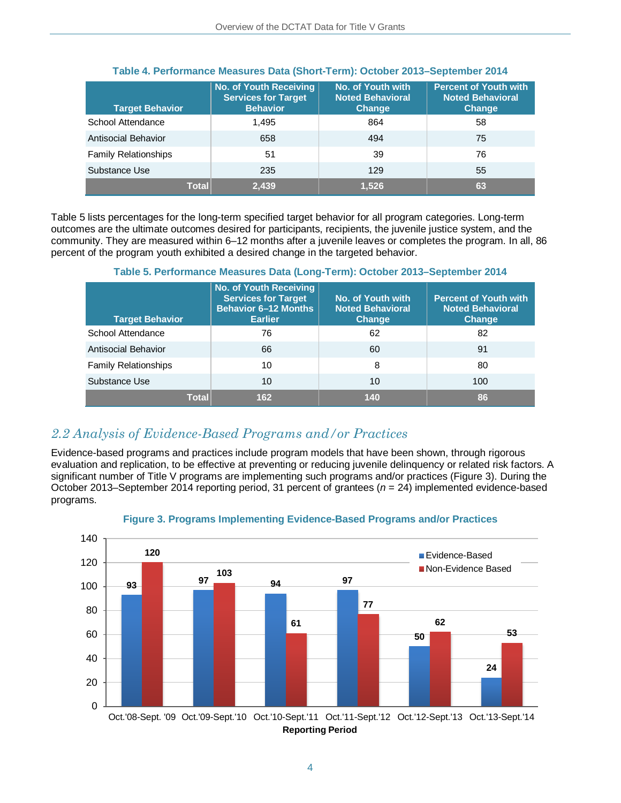| <b>Target Behavior</b>      | No. of Youth Receiving<br><b>Services for Target</b><br><b>Behavior</b> | No. of Youth with<br><b>Noted Behavioral</b><br><b>Change</b> | <b>Percent of Youth with</b><br><b>Noted Behavioral</b><br><b>Change</b> |
|-----------------------------|-------------------------------------------------------------------------|---------------------------------------------------------------|--------------------------------------------------------------------------|
| School Attendance           | 1.495                                                                   | 864                                                           | 58                                                                       |
| Antisocial Behavior         | 658                                                                     | 494                                                           | 75                                                                       |
| <b>Family Relationships</b> | 51                                                                      | 39                                                            | 76                                                                       |
| Substance Use               | 235                                                                     | 129                                                           | 55                                                                       |
| <b>Total</b>                | 2.439                                                                   | 1.526                                                         | 63                                                                       |

#### **Table 4. Performance Measures Data (Short-Term): October 2013–September 2014**

Table 5 lists percentages for the long-term specified target behavior for all program categories. Long-term outcomes are the ultimate outcomes desired for participants, recipients, the juvenile justice system, and the community. They are measured within 6–12 months after a juvenile leaves or completes the program. In all, 86 percent of the program youth exhibited a desired change in the targeted behavior.

| <b>Target Behavior</b>      | No. of Youth Receiving<br><b>Services for Target</b><br><b>Behavior 6-12 Months</b><br><b>Earlier</b> | No. of Youth with<br><b>Noted Behavioral</b><br><b>Change</b> | <b>Percent of Youth with</b><br><b>Noted Behavioral</b><br>Change |
|-----------------------------|-------------------------------------------------------------------------------------------------------|---------------------------------------------------------------|-------------------------------------------------------------------|
| School Attendance           | 76                                                                                                    | 62                                                            | 82                                                                |
| Antisocial Behavior         | 66                                                                                                    | 60                                                            | 91                                                                |
| <b>Family Relationships</b> | 10                                                                                                    | 8                                                             | 80                                                                |
| Substance Use               | 10                                                                                                    | 10                                                            | 100                                                               |
| Total                       | 162                                                                                                   | 140                                                           | 86                                                                |

#### **Table 5. Performance Measures Data (Long-Term): October 2013–September 2014**

### *2.2 Analysis of Evidence-Based Programs and/or Practices*

Evidence-based programs and practices include program models that have been shown, through rigorous evaluation and replication, to be effective at preventing or reducing juvenile delinquency or related risk factors. A significant number of Title V programs are implementing such programs and/or practices (Figure 3). During the October 2013–September 2014 reporting period, 31 percent of grantees (*n* = 24) implemented evidence-based programs.



#### **Figure 3. Programs Implementing Evidence-Based Programs and/or Practices**